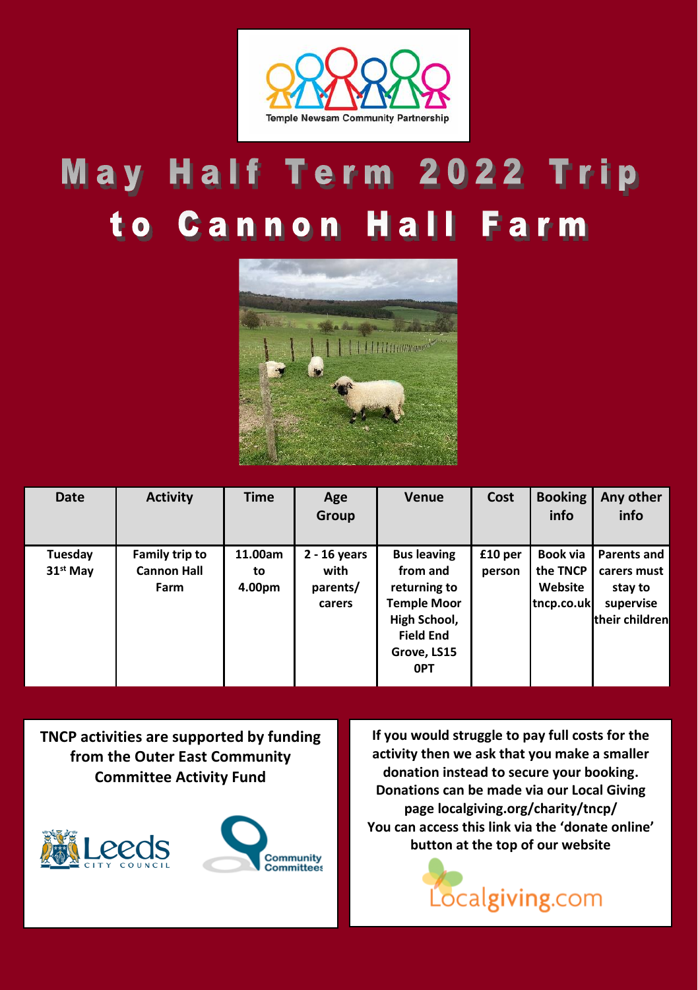

# May Half Term 2022 Trip to Cannon Hall Farm



| <b>Date</b>          | <b>Activity</b>            | <b>Time</b>  | Age<br>Group               | <b>Venue</b>                                                                                                    | Cost    | <b>Booking</b><br>info            | Any other<br>info                                     |
|----------------------|----------------------------|--------------|----------------------------|-----------------------------------------------------------------------------------------------------------------|---------|-----------------------------------|-------------------------------------------------------|
| Tuesday              | Family trip to             | 11.00am      | $2 - 16$ years             | <b>Bus leaving</b>                                                                                              | £10 per | Book via                          | Parents and                                           |
| 31 <sup>st</sup> May | <b>Cannon Hall</b><br>Farm | to<br>4.00pm | with<br>parents/<br>carers | from and<br>returning to<br><b>Temple Moor</b><br>High School,<br><b>Field End</b><br>Grove, LS15<br><b>OPT</b> | person  | the TNCP<br>Website<br>tncp.co.uk | carers must<br>stay to<br>supervise<br>their children |

**TNCP activities are supported by funding from the Outer East Community Committee Activity Fund**





**If you would struggle to pay full costs for the activity then we ask that you make a smaller donation instead to secure your booking. Donations can be made via our Local Giving pag[e localgiving.org/charity/tncp/](https://localgiving.org/charity/tncp/) You can access this link via the 'donate online' button at the top of our website**